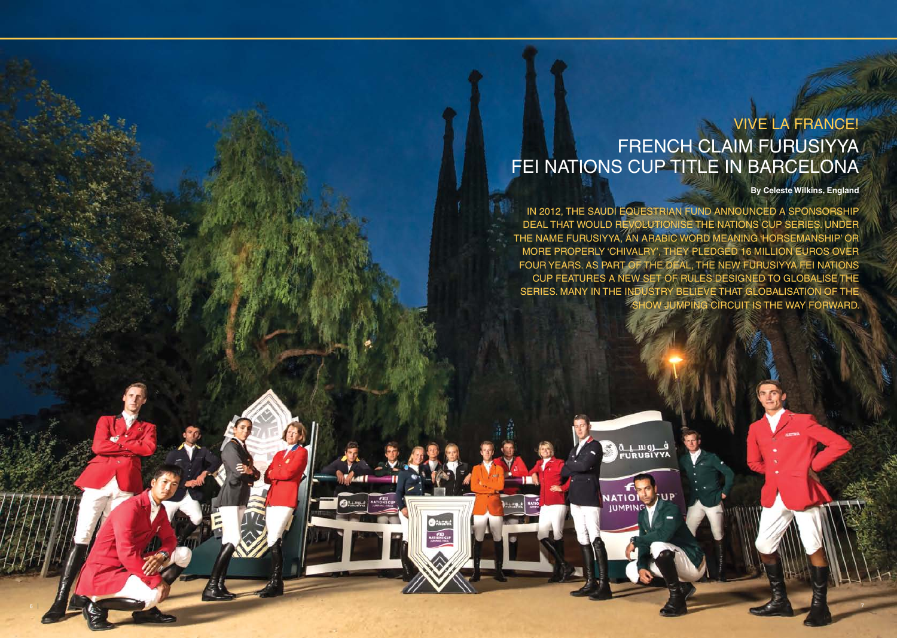**By Celeste Wilkins, England**

## VIVE LA FRANCE! FRENCH CLAIM FURUSIYYA FEI NATIONS CUP TITLE IN BARCELONA

In 2012, the Saudi Equestrian Fund announced a sponsorship DEAL THAT WOULD REVOLUTIONISE THE NATIONS CUP SERIES. UN the name Furusiyya, an Arabic word meaning 'horsemanship' or more properly 'chivalry', they pledged 16 million Euros over four years. As part of the deal, the new Furusiyya FEI Nations Cup features a new set of rules designed to globalise the SERIES. MANY IN THE INDUSTRY BELIEVE THAT GLOBALISATION OF THE show jumping circuit is the way forward.

ف روسيدة<br>FURUSIYYA

 $7UP$ 

**NATION** 

**IUMPING** 

 $\sim$  7  $\sim$  7  $\sim$  7  $\sim$  7  $\sim$  7  $\sim$  7  $\sim$  7  $\sim$  7  $\sim$  7  $\sim$  7  $\sim$  7  $\sim$  7  $\sim$  7  $\sim$  7  $\sim$  7  $\sim$  7  $\sim$  7  $\sim$  7  $\sim$  7  $\sim$  7  $\sim$  7  $\sim$  7  $\sim$  7  $\sim$  7  $\sim$  7  $\sim$  7  $\sim$  7  $\sim$  7  $\sim$  7  $\sim$  7  $\sim$  7  $\sim$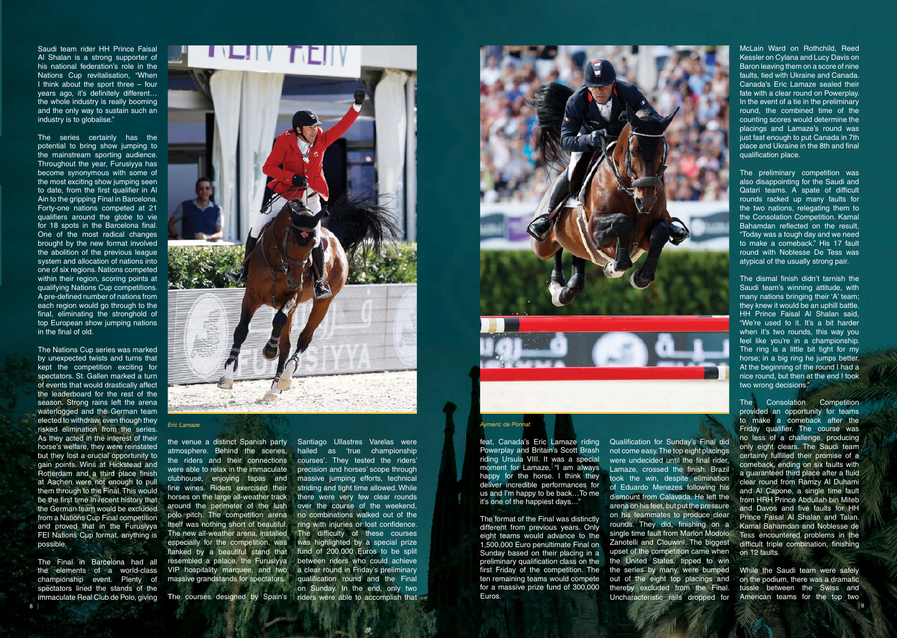Saudi team rider HH Prince Faisal Al Shalan is a strong supporter of his national federation's role in the Nations Cup revitalisation, "When I think about the sport three – four years ago, it's definitely different… the whole industry is really booming and the only way to sustain such an industry is to globalise."

The series certainly has the potential to bring show jumping to the mainstream sporting audience. Throughout the year, Furusiyya has become synonymous with some of the most exciting show jumping seen to date, from the first qualifier in Al Ain to the gripping Final in Barcelona. Forty-one nations competed at 21 qualifiers around the globe to vie for 18 spots in the Barcelona final. One of the most radical changes brought by the new format involved the abolition of the previous league system and allocation of nations into one of six regions. Nations competed within their region, scoring points at qualifying Nations Cup competitions. A pre-defined number of nations from each region would go through to the final, eliminating the stronghold of top European show jumping nations in the final of old.

The Final in Barcelona had all the elements of a world-class championship event. Plenty of spectators lined the stands of the immaculate Real Club de Polo, giving The courses designed by Spain's 8 | 2008 | 2008 | 2008 | 2008 | 2008 | 2008 | 2008 | 2008 | 2008 | 2008 | 2008 | 2009 | 2009 | 2009 | 2009 | 20



The Nations Cup series was marked by unexpected twists and turns that kept the competition exciting for spectators. St. Gallen marked a turn of events that would drastically affect the leaderboard for the rest of the season. Strong rains left the arena waterlogged and the German team elected to withdraw, even though they risked elimination from the series. As they acted in the interest of their horse's welfare, they were reinstated but they lost a crucial opportunity to gain points. Wins at Hickstead and Rotterdam and a third place finish at Aachen were not enough to pull them through to the Final. This would be the first time in recent history that the German team would be excluded from a Nations Cup Final competition and proved that in the Furusiyya FEI Nations Cup format, anything is possible.

feat, Canada's Eric Lamaze riding Powerplay and Britain's Scott Brash riding Ursula VIII. It was a special moment for Lamaze, "I am always happy for the horse. I think they deliver incredible performances for us and I'm happy to be back…To me it's one of the happiest days…"

The format of the Final was distinctly different from previous years. Only eight teams would advance to the 1,500,000 Euro penultimate Final on Sunday based on their placing in a preliminary qualification class on the first Friday of the competition. The ten remaining teams would compete for a massive prize fund of 300,000 Euros.

McLain Ward on Rothchild, Reed Kessler on Cylana and Lucy Davis on Baron leaving them on a score of nine faults, tied with Ukraine and Canada. Canada's Eric Lamaze sealed their fate with a clear round on Powerplay. In the event of a tie in the preliminary round, the combined time of the counting scores would determine the placings and Lamaze's round was just fast enough to put Canada in 7th place and Ukraine in the 8th and final qualification place.

The preliminary competition was also disappointing for the Saudi and Qatari teams. A spate of difficult rounds racked up many faults for the two nations, relegating them to the Consolation Competition. Kamal Bahamdan reflected on the result, "Today was a tough day and we need to make a comeback." His 17 fault round with Noblesse De Tess was atypical of the usually strong pair.

Qualification for Sunday's Final did not come easy. The top eight placings were undecided until the final rider, Lamaze, crossed the finish. Brazil took the win, despite elimination of Eduardo Menezes following his dismount from Calavada. He left the arena on his feet, but put the pressure on his teammates to produce clear rounds. They did, finishing on a single time fault from Marlon Modolo Zanotelli and Clouwini. The biggest upset of the competition came when the United States, tipped to win the series by many, were bumped out of the eight top placings and thereby excluded from the Final. Uncharacteristic rails dropped for American teams for the top two

The dismal finish didn't tarnish the Saudi team's winning attitude, with many nations bringing their 'A' team; they knew it would be an uphill battle. HH Prince Faisal Al Shalan said, "We're used to it. It's a bit harder when it's two rounds, this way you feel like you're in a championship. The ring is a little bit tight for my horse; in a big ring he jumps better. At the beginning of the round I had a nice round, but then at the end I took two wrong decisions."

The Consolation Competition provided an opportunity for teams to make a comeback after the Friday qualifier. The course was no less of a challenge, producing only eight clears. The Saudi team certainly fulfilled their promise of a comeback, ending on six faults with a guaranteed third place after a fluid clear round from Ramzy Al Duhami and Al Capone, a single time fault from HRH Prince Abdullah bin Miteb and Davos and five faults for HH Prince Faisal Al Shalan and Talan. Kamal Bahamdan and Noblesse de Tess encountered problems in the difficult triple combination, finishing on 12 faults.

While the Saudi team were safely on the podium, there was a dramatic tussle between the Swiss and

*Eric Lamaze Aymeric de Ponnat*

the venue a distinct Spanish party atmosphere. Behind the scenes, the riders and their connections were able to relax in the immaculate clubhouse, enjoying tapas and fine wines. Riders exercised their horses on the large all-weather track around the perimeter of the lush polo pitch. The competition arena itself was nothing short of beautiful. The new all-weather arena, installed especially for the competition, was flanked by a beautiful stand that resembled a palace, the Furusiyya VIP hospitality marquee, and two massive grandstands for spectators.

Santiago Ullastres Varelas were hailed as 'true championship courses'. They tested the riders' precision and horses' scope through massive jumping efforts, technical striding and tight time allowed. While there were very few clear rounds over the course of the weekend, no combinations walked out of the ring with injuries or lost confidence. The difficulty of these courses was highlighted by a special prize fund of 200,000 Euros to be split between riders who could achieve a clear round in Friday's preliminary qualification round and the Final on Sunday. In the end, only two riders were able to accomplish that

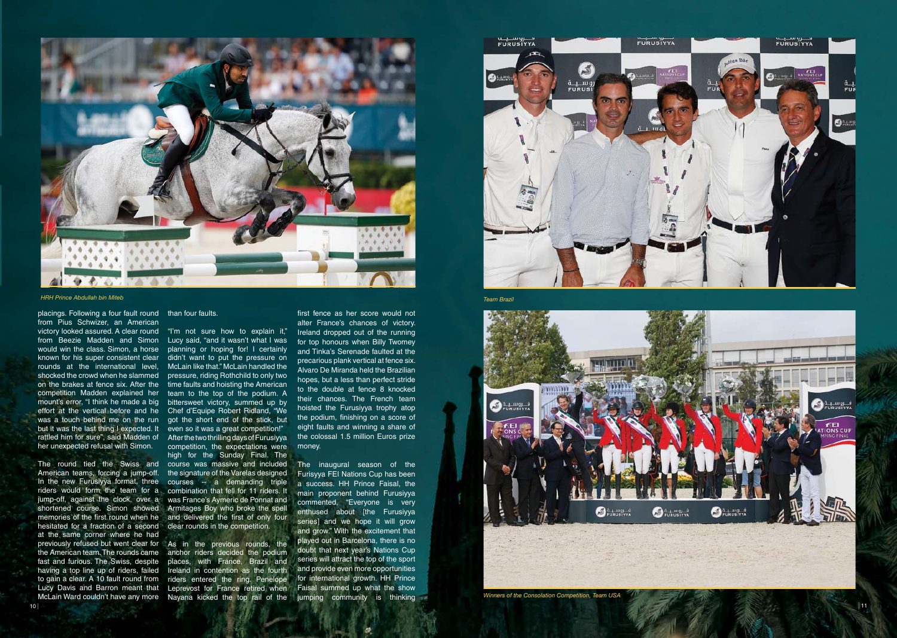

*HRH Prince Abdullah bin Miteb*

placings. Following a four fault round than four faults. from Pius Schwizer, an American victory looked assured. A clear round "I'm not sure how to explain it," from Beezie Madden and Simon Lucy said, "and it wasn't what I was would win the class. Simon, a horse planning or hoping for! I certainly known for his super consistent clear didn't want to put the pressure on rounds at the international level, McLain like that." McLain handled the shocked the crowd when he slammed pressure, riding Rothchild to only two on the brakes at fence six. After the time faults and hoisting the American competition Madden explained her team to the top of the podium. A mount's error, "I think he made a big bittersweet victory, summed up by effort at the vertical before and he Chef d'Equipe Robert Ridland, "We was a touch behind me on the run got the short end of the stick, but but it was the last thing I expected. It even so it was a great competition!" rattled him for sure", said Madden of her unexpected refusal with Simon.

previously refused but went clear for As in the previous rounds, the the American team. The rounds came anchor riders decided the podium to gain a clear. A 10 fault round from riders entered the ring. Penelope Lucy Davis and Barron meant that Leprevost for France retired when places, with France, Brazil and Ireland in contention as the fourth

The round tied the Swiss and course was massive and included American teams, forcing a jump-off. In the new Furusiyya format, three courses -- a demanding triple riders would form the team for a combination that fell for 11 riders. It jump-off, against the clock, over a was France's Aymeric de Ponnat and shortened course. Simon showed Armitages Boy who broke the spell memories of the first round when he and delivered the first of only four hesitated for a fraction of a second clear rounds in the competition. at the same corner where he had fast and furious. The Swiss, despite having a top line up of riders, failed McLain Ward couldn't have any more Nayana kicked the top rail of the

After the two thrilling days of Furusiyya competition, the expectations were high for the Sunday Final. The the signature of the Varelas designed

first fence as her score would not alter France's chances of victory. Ireland dropped out of the running for top honours when Billy Twomey and Tinka's Serenade faulted at the precarious plank vertical at fence six. Alvaro De Miranda held the Brazilian hopes, but a less than perfect stride to the double at fence 8 knocked their chances. The French team hoisted the Furusiyya trophy atop the podium, finishing on a score of eight faults and winning a share of the colossal 1.5 million Euros prize money.

The inaugural season of the Furisyya FEI Nations Cup has been a success. HH Prince Faisal, the main proponent behind Furusiyya commented, "Everyone is very enthused about [the Furusiyya series] and we hope it will grow and grow." With the excitement that played out in Barcelona, there is no doubt that next year's Nations Cup series will attract the top of the sport and provide even more opportunities for international growth. HH Prince Faisal summed up what the show jumping community is thinking



*Team Brazil*



*Winners of the Consolation Competition, Team USA*